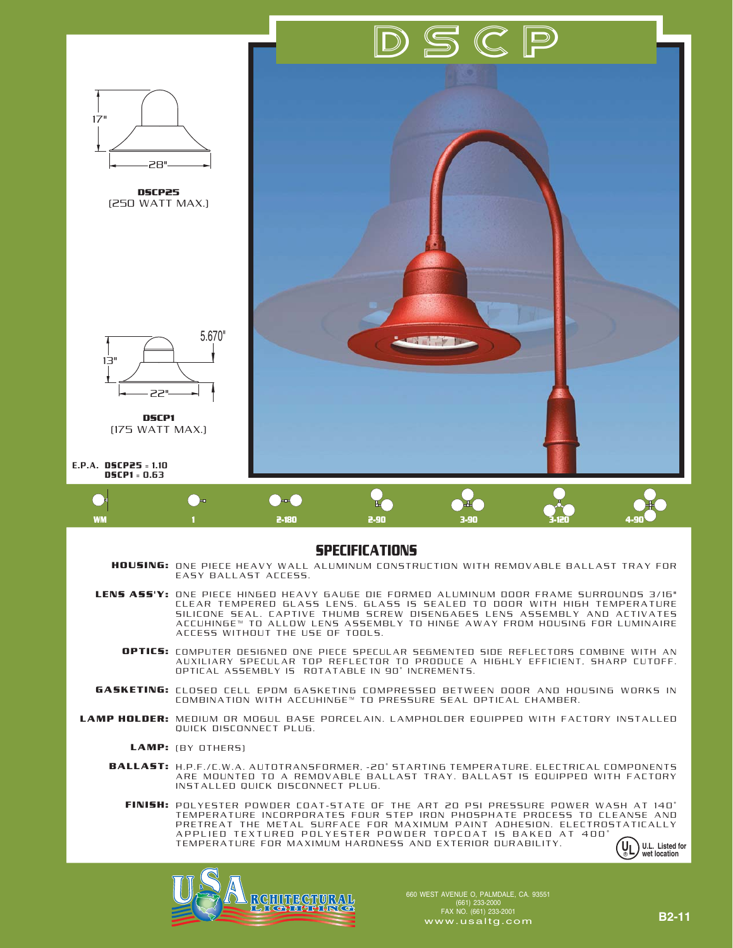



## **SPECIFICATIONS**

**HOUSING:** ONE PIECE HEAVY WALL ALUMINUM CONSTRUCTION WITH REMOVABLE BALLAST TRAY FOR EASY BALLAST ACCESS.

LENS ASS'Y: ONE PIECE HINGED HEAVY GAUGE DIE FORMED ALUMINUM DOOR FRAME SURROUNDS 3/16" CLEAR TEMPERED GLASS LENS. GLASS IS SEALED TO DOOR WITH HIGH TEMPERATURE SILICONE SEAL. CAPTIVE THUMB SCREW DISENGAGES LENS ASSEMBLY AND ACTIVATES ACCUHINGE™ TO ALLOW LENS ASSEMBLY TO HINGE AWAY FROM HOUSING FOR LUMINAIRE ACCESS WITHOUT THE USE OF TOOLS.

- COMPUTER DESIGNED ONE PIECE SPECULAR SEGMENTED SIDE REFLECTORS COMBINE WITH AN AUXILIARY SPECULAR TOP REFLECTOR TO PRODUCE A HIGHLY EFFICIENT, SHARP CUTOFF. OPTICAL ASSEMBLY IS ROTATABLE IN 90˚ INCREMENTS. **OPTICS:**
- CLOSED CELL EPDM GASKETING COMPRESSED BETWEEN DOOR AND HOUSING WORKS IN COMBINATION WITH ACCUHINGE™ TO PRESSURE SEAL OPTICAL CHAMBER. **GASKETING:**
- LAMP HOLDER: MEDIUM OR MOGUL BASE PORCELAIN. LAMPHOLDER EQUIPPED WITH FACTORY INSTALLED QUICK DISCONNECT PLUG.
	- LAMP: (BY OTHERS)
	- H.P.F./C.W.A. AUTOTRANSFORMER, -20˚ STARTING TEMPERATURE. ELECTRICAL COMPONENTS ARE MOUNTED TO A REMOVABLE BALLAST TRAY. BALLAST IS EQUIPPED WITH FACTORY INSTALLED QUICK DISCONNECT PLUG. **BALLAST:**

FINISH: POLYESTER POWDER COAT-STATE OF THE ART 20 PSI PRESSURE POWER WASH AT 140° TEMPERATURE INCORPORATES FOUR STEP IRON PHOSPHATE PROCESS TO CLEANSE AND PRETREAT THE METAL SURFACE FOR MAXIMUM PAINT ADHESION. ELECTROSTATICALLY APPLIED TEXTURED POLYESTER POWDER TOPCOAT IS BAKED AT 400˚ TEMPERATURE FOR MAXIMUM HARDNESS AND EXTERIOR DURABILITY.